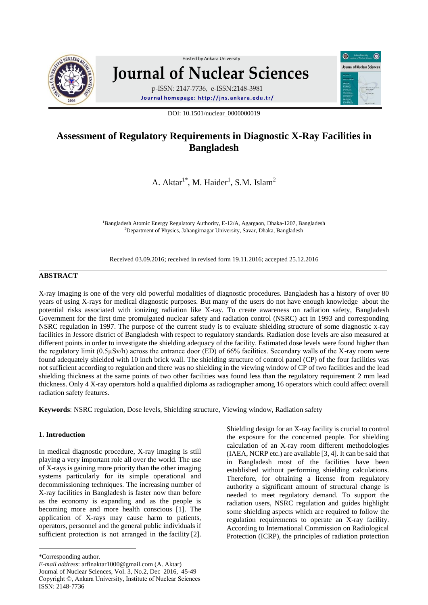

# Hosted by Ankara Unive[rsity](http://www.sciencedirect.com/science/journal/01678809)  **Journal of Nuclear Sciences** p-ISSN: 2147-7736, e-ISSN:2148-3981

**Journal homepage: [h t tp :// jns. ank ar a.edu .t r/](http://jns.ankara.edu.tr/)**

DOI: 10.1501/nuclear\_0000000019

## **Assessment of Regulatory Requirements in Diagnostic X-Ray Facilities in Bangladesh**

A. Aktar<sup>1\*</sup>, M. Haider<sup>1</sup>, S.M. Islam<sup>2</sup>

<sup>1</sup>Bangladesh Atomic Energy Regulatory Authority, E-12/A, Agargaon, Dhaka-1207, Bangladesh <sup>2</sup>Department of Physics, Jahangirnagar University, Savar, Dhaka, Bangladesh

Received 03.09.2016; received in revised form 19.11.2016; accepted 25.12.2016

## **ABSTRACT**

X-ray imaging is one of the very old powerful modalities of diagnostic procedures. Bangladesh has a history of over 80 years of using X-rays for medical diagnostic purposes. But many of the users do not have enough knowledge about the potential risks associated with ionizing radiation like X-ray. To create awareness on radiation safety, Bangladesh Government for the first time promulgated nuclear safety and radiation control (NSRC) act in 1993 and corresponding NSRC regulation in 1997. The purpose of the current study is to evaluate shielding structure of some diagnostic x-ray facilities in Jessore district of Bangladesh with respect to regulatory standards. Radiation dose levels are also measured at different points in order to investigate the shielding adequacy of the facility. Estimated dose levels were found higher than the regulatory limit (0.5µSv/h) across the entrance door (ED) of 66% facilities. Secondary walls of the X-ray room were found adequately shielded with 10 inch brick wall. The shielding structure of control panel (CP) of the four facilities was not sufficient according to regulation and there was no shielding in the viewing window of CP of two facilities and the lead shielding thickness at the same points of two other facilities was found less than the regulatory requirement 2 mm lead thickness. Only 4 X-ray operators hold a qualified diploma as radiographer among 16 operators which could affect overall radiation safety features.

**Keywords**: NSRC regulation, Dose levels, Shielding structure, Viewing window, Radiation safety

## **1. Introduction**

In medical diagnostic procedure, X-ray imaging is still playing a very important role all over the world. The use of X-rays is gaining more priority than the other imaging systems particularly for its simple operational and decommissioning techniques. The increasing number of X-ray facilities in Bangladesh is faster now than before as the economy is expanding and as the people is becoming more and more health conscious [1]. The application of X-rays may cause harm to patients, operators, personnel and the general public individuals if sufficient protection is not arranged in the facility [2].

the exposure for the concerned people. For shielding calculation of an X-ray room different methodologies (IAEA, NCRP etc.) are available [3, 4]. It can be said that in Bangladesh most of the facilities have been established without performing shielding calculations. Therefore, for obtaining a license from regulatory authority a significant amount of structural change is needed to meet regulatory demand. To support the radiation users, NSRC regulation and guides highlight some shielding aspects which are required to follow the regulation requirements to operate an X-ray facility. According to International Commission on Radiological Protection (ICRP), the principles of radiation protection

Shielding design for an X-ray facility is crucial to control

 $\odot$ 

**Journal of Nuclear Science** 

<sup>\*</sup>Corresponding author.

*E-mail address*[: arfinaktar1000@gmail.com \(A.](mailto:arfinaktar1000@gmail.com%20(A) Aktar) Journal of Nuclear Sciences, Vol. 3, No.2, Dec 2016, 45-49 Copyright ©, Ankara University, Institute of Nuclear Sciences ISSN: 2148-7736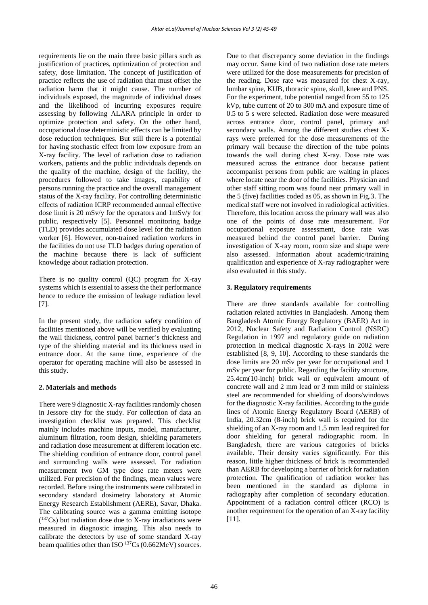requirements lie on the main three basic pillars such as justification of practices, optimization of protection and safety, dose limitation. The concept of justification of practice reflects the use of radiation that must offset the radiation harm that it might cause. The number of individuals exposed, the magnitude of individual doses and the likelihood of incurring exposures require assessing by following ALARA principle in order to optimize protection and safety. On the other hand, occupational dose deterministic effects can be limited by dose reduction techniques. But still there is a potential for having stochastic effect from low exposure from an X-ray facility. The level of radiation dose to radiation workers, patients and the public individuals depends on the quality of the machine, design of the facility, the procedures followed to take images, capability of persons running the practice and the overall management status of the X-ray facility. For controlling deterministic effects of radiation ICRP recommended annual effective dose limit is 20 mSv/y for the operators and 1mSv/y for public, respectively [5]. Personnel monitoring badge (TLD) provides accumulated dose level for the radiation worker [6]. However, non-trained radiation workers in the facilities do not use TLD badges during operation of the machine because there is lack of sufficient knowledge about radiation protection.

There is no quality control (QC) program for X-ray systems which is essential to assess the their performance hence to reduce the emission of leakage radiation level [7].

In the present study, the radiation safety condition of facilities mentioned above will be verified by evaluating the wall thickness, control panel barrier's thickness and type of the shielding material and its thickness used in entrance door. At the same time, experience of the operator for operating machine will also be assessed in this study.

## **2. Materials and methods**

There were 9 diagnostic X-ray facilities randomly chosen in Jessore city for the study. For collection of data an investigation checklist was prepared. This checklist mainly includes machine inputs, model, manufacturer, aluminum filtration, room design, shielding parameters and radiation dose measurement at different location etc. The shielding condition of entrance door, control panel and surrounding walls were assessed. For radiation measurement two GM type dose rate meters were utilized. For precision of the findings, mean values were recorded. Before using the instruments were calibrated in secondary standard dosimetry laboratory at Atomic Energy Research Establishment (AERE), Savar, Dhaka. The calibrating source was a gamma emitting isotope  $(137Cs)$  but radiation dose due to X-ray irradiations were measured in diagnostic imaging. This also needs to calibrate the detectors by use of some standard X-ray beam qualities other than ISO <sup>137</sup>Cs (0.662MeV) sources.

Due to that discrepancy some deviation in the findings may occur. Same kind of two radiation dose rate meters were utilized for the dose measurements for precision of the reading. Dose rate was measured for chest X-ray, lumbar spine, KUB, thoracic spine, skull, knee and PNS. For the experiment, tube potential ranged from 55 to 125 kVp, tube current of 20 to 300 mA and exposure time of 0.5 to 5 s were selected. Radiation dose were measured across entrance door, control panel, primary and secondary walls. Among the different studies chest Xrays were preferred for the dose measurements of the primary wall because the direction of the tube points towards the wall during chest X-ray. Dose rate was measured across the entrance door because patient accompanist persons from public are waiting in places where locate near the door of the facilities. Physician and other staff sitting room was found near primary wall in the 5 (five) facilities coded as 05, as shown in Fig.3. The medical staff were not involved in radiological activities. Therefore, this location across the primary wall was also one of the points of dose rate measurement. For occupational exposure assessment, dose rate was measured behind the control panel barrier. During investigation of X-ray room, room size and shape were also assessed. Information about academic/training qualification and experience of X-ray radiographer were also evaluated in this study.

## **3. Regulatory requirements**

There are three standards available for controlling radiation related activities in Bangladesh. Among them Bangladesh Atomic Energy Regulatory (BAER) Act in 2012, Nuclear Safety and Radiation Control (NSRC) Regulation in 1997 and regulatory guide on radiation protection in medical diagnostic X-rays in 2002 were established [8, 9, 10]. According to these standards the dose limits are 20 mSv per year for occupational and 1 mSv per year for public. Regarding the facility structure, 25.4cm(10-inch) brick wall or equivalent amount of concrete wall and 2 mm lead or 3 mm mild or stainless steel are recommended for shielding of doors/windows for the diagnostic X-ray facilities. According to the guide lines of Atomic Energy Regulatory Board (AERB) of India, 20.32cm (8-inch) brick wall is required for the shielding of an X-ray room and 1.5 mm lead required for door shielding for general radiographic room. In Bangladesh, there are various categories of bricks available. Their density varies significantly. For this reason, little higher thickness of brick is recommended than AERB for developing a barrier of brick for radiation protection. The qualification of radiation worker has been mentioned in the standard as diploma in radiography after completion of secondary education. Appointment of a radiation control officer (RCO) is another requirement for the operation of an X-ray facility [11].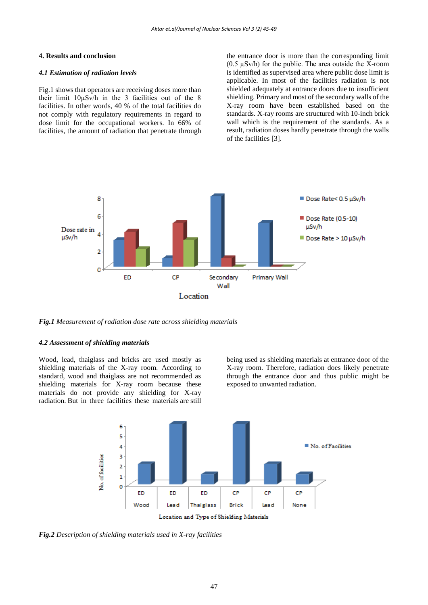#### **4. Results and conclusion**

#### *4.1 Estimation of radiation levels*

Fig.1 shows that operators are receiving doses more than their limit  $10\mu Sv/h$  in the 3 facilities out of the 8 facilities. In other words, 40 % of the total facilities do not comply with regulatory requirements in regard to dose limit for the occupational workers. In 66% of facilities, the amount of radiation that penetrate through

the entrance door is more than the corresponding limit  $(0.5 \mu Sv/h)$  for the public. The area outside the X-room is identified as supervised area where public dose limit is applicable. In most of the facilities radiation is not shielded adequately at entrance doors due to insufficient shielding. Primary and most of the secondary walls of the X-ray room have been established based on the standards. X-ray rooms are structured with 10-inch brick wall which is the requirement of the standards. As a result, radiation doses hardly penetrate through the walls of the facilities [3].



*Fig.1 Measurement of radiation dose rate across shielding materials*

#### *4.2 Assessment of shielding materials*

Wood, lead, thaiglass and bricks are used mostly as shielding materials of the X-ray room. According to standard, wood and thaiglass are not recommended as shielding materials for X-ray room because these materials do not provide any shielding for X-ray radiation. But in three facilities these materials are still

being used as shielding materials at entrance door of the X-ray room. Therefore, radiation does likely penetrate through the entrance door and thus public might be exposed to unwanted radiation.



*Fig.2 Description of shielding materials used in X-ray facilities*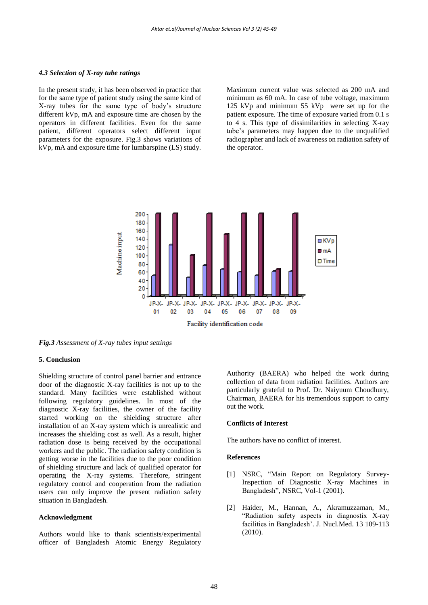#### *4.3 Selection of X-ray tube ratings*

In the present study, it has been observed in practice that for the same type of patient study using the same kind of X-ray tubes for the same type of body's structure different kVp, mA and exposure time are chosen by the operators in different facilities. Even for the same patient, different operators select different input parameters for the exposure. Fig.3 shows variations of kVp, mA and exposure time for lumbarspine (LS) study.

Maximum current value was selected as 200 mA and minimum as 60 mA. In case of tube voltage, maximum 125 kVp and minimum 55 kVp were set up for the patient exposure. The time of exposure varied from 0.1 s to 4 s. This type of dissimilarities in selecting X-ray tube's parameters may happen due to the unqualified radiographer and lack of awareness on radiation safety of the operator.



*Fig.3 Assessment of X-ray tubes input settings*

#### **5. Conclusion**

Shielding structure of control panel barrier and entrance door of the diagnostic X-ray facilities is not up to the standard. Many facilities were established without following regulatory guidelines. In most of the diagnostic X-ray facilities, the owner of the facility started working on the shielding structure after installation of an X-ray system which is unrealistic and increases the shielding cost as well. As a result, higher radiation dose is being received by the occupational workers and the public. The radiation safety condition is getting worse in the facilities due to the poor condition of shielding structure and lack of qualified operator for operating the X-ray systems. Therefore, stringent regulatory control and cooperation from the radiation users can only improve the present radiation safety situation in Bangladesh.

#### **Acknowledgment**

Authors would like to thank scientists/experimental officer of Bangladesh Atomic Energy Regulatory

Authority (BAERA) who helped the work during collection of data from radiation facilities. Authors are particularly grateful to Prof. Dr. Naiyuum Choudhury, Chairman, BAERA for his tremendous support to carry out the work.

#### **Conflicts of Interest**

The authors have no conflict of interest.

#### **References**

- [1] NSRC, "Main Report on Regulatory Survey-Inspection of Diagnostic X-ray Machines in Bangladesh", NSRC, Vol-1 (2001).
- [2] Haider, M., Hannan, A., Akramuzzaman, M., "Radiation safety aspects in diagnostix X-ray facilities in Bangladesh'. J. Nucl.Med. 13 109-113 (2010).